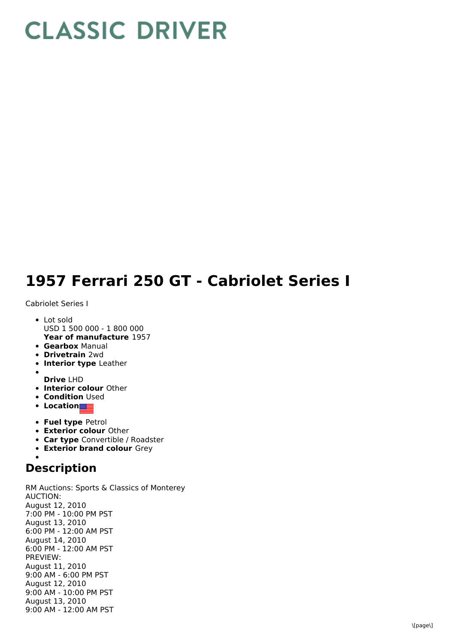## **CLASSIC DRIVER**

## **1957 Ferrari 250 GT - Cabriolet Series I**

Cabriolet Series I

- **Year of manufacture** 1957 • Lot sold USD 1 500 000 - 1 800 000
- **Gearbox** Manual
- **Drivetrain** 2wd
- **Interior type** Leather
- **Drive** LHD
- **Interior colour** Other
- **Condition Used**
- **•** Location
- **Fuel type** Petrol
- **Exterior colour** Other
- **Car type** Convertible / Roadster
- **Exterior brand colour** Grey

## **Description**

RM Auctions: Sports & Classics of Monterey AUCTION: August 12, 2010 7:00 PM - 10:00 PM PST August 13, 2010 6:00 PM - 12:00 AM PST August 14, 2010 6:00 PM - 12:00 AM PST PREVIEW: August 11, 2010 9:00 AM - 6:00 PM PST August 12, 2010 9:00 AM - 10:00 PM PST August 13, 2010 9:00 AM - 12:00 AM PST